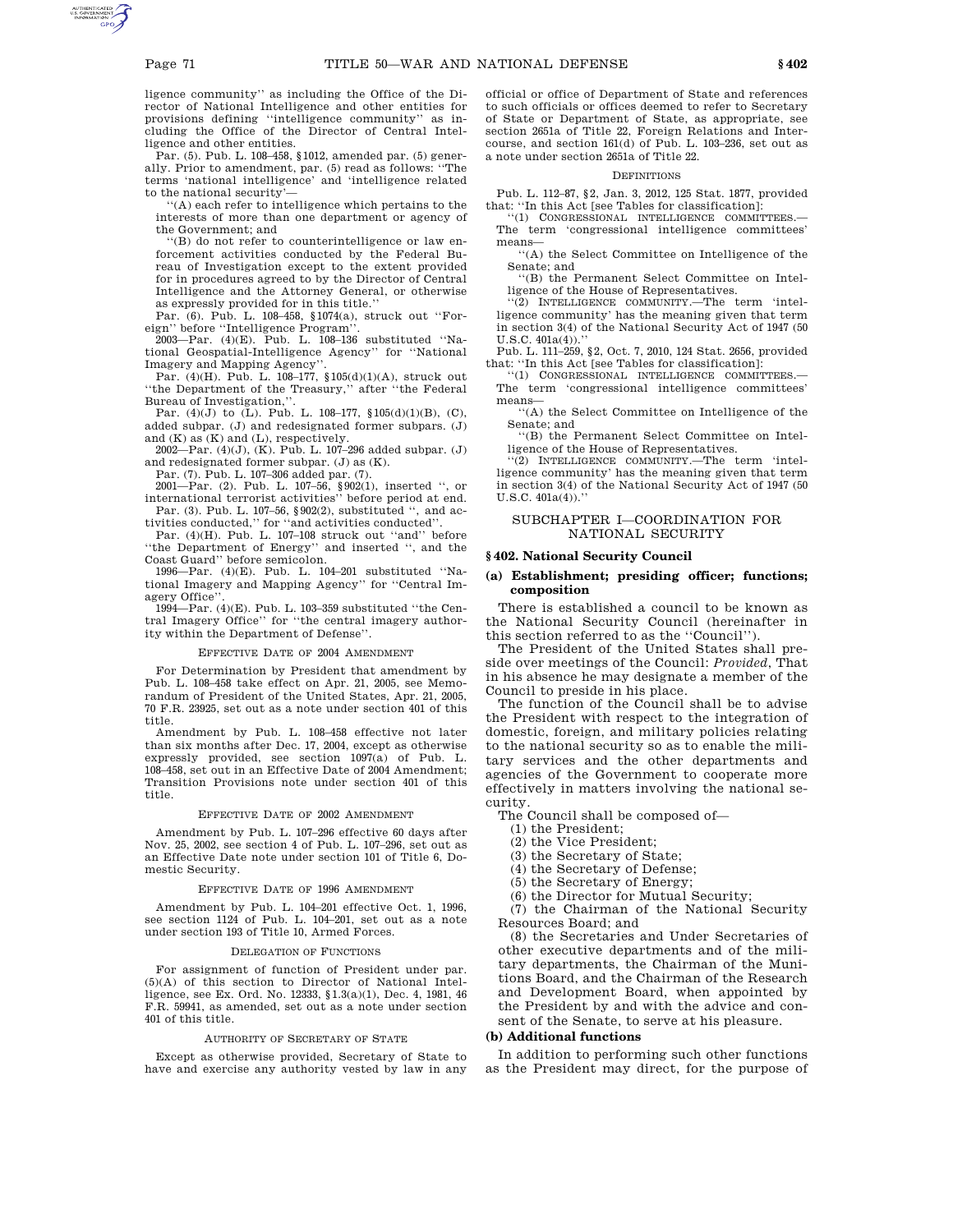ligence community'' as including the Office of the Director of National Intelligence and other entities for provisions defining ''intelligence community'' as including the Office of the Director of Central Intelligence and other entities.

Par. (5). Pub. L. 108–458, §1012, amended par. (5) generally. Prior to amendment, par. (5) read as follows: ''The terms 'national intelligence' and 'intelligence related to the national security'—

'(A) each refer to intelligence which pertains to the interests of more than one department or agency of the Government; and

''(B) do not refer to counterintelligence or law enforcement activities conducted by the Federal Bureau of Investigation except to the extent provided for in procedures agreed to by the Director of Central Intelligence and the Attorney General, or otherwise as expressly provided for in this title.''

Par. (6). Pub. L. 108–458, §1074(a), struck out ''Foreign'' before ''Intelligence Program''.

2003—Par. (4)(E). Pub. L. 108–136 substituted ''National Geospatial-Intelligence Agency'' for ''National Imagery and Mapping Agency''.

Par. (4)(H). Pub. L. 108–177, §105(d)(1)(A), struck out ''the Department of the Treasury,'' after ''the Federal Bureau of Investigation,

Par. (4)(J) to (L). Pub. L. 108–177, §105(d)(1)(B), (C), added subpar. (J) and redesignated former subpars. (J) and (K) as (K) and (L), respectively.

2002—Par. (4)(J), (K). Pub. L. 107–296 added subpar. (J) and redesignated former subpar. (J) as (K).

Par. (7). Pub. L. 107–306 added par. (7).

2001—Par. (2). Pub. L. 107–56, §902(1), inserted '', or international terrorist activities'' before period at end. Par. (3). Pub. L. 107–56, §902(2), substituted '', and ac-

tivities conducted,'' for ''and activities conducted''. Par. (4)(H). Pub. L. 107–108 struck out ''and'' before

''the Department of Energy'' and inserted '', and the Coast Guard'' before semicolon. 1996—Par. (4)(E). Pub. L. 104–201 substituted ''Na-

tional Imagery and Mapping Agency'' for ''Central Imagery Office''.

1994—Par. (4)(E). Pub. L. 103–359 substituted ''the Central Imagery Office'' for ''the central imagery authority within the Department of Defense''.

#### EFFECTIVE DATE OF 2004 AMENDMENT

For Determination by President that amendment by Pub. L. 108–458 take effect on Apr. 21, 2005, see Memorandum of President of the United States, Apr. 21, 2005, 70 F.R. 23925, set out as a note under section 401 of this title.

Amendment by Pub. L. 108–458 effective not later than six months after Dec. 17, 2004, except as otherwise expressly provided, see section 1097(a) of Pub. L. 108–458, set out in an Effective Date of 2004 Amendment; Transition Provisions note under section 401 of this title.

### EFFECTIVE DATE OF 2002 AMENDMENT

Amendment by Pub. L. 107–296 effective 60 days after Nov. 25, 2002, see section 4 of Pub. L. 107–296, set out as an Effective Date note under section 101 of Title 6, Domestic Security.

#### EFFECTIVE DATE OF 1996 AMENDMENT

Amendment by Pub. L. 104–201 effective Oct. 1, 1996, see section 1124 of Pub. L. 104–201, set out as a note under section 193 of Title 10, Armed Forces.

### DELEGATION OF FUNCTIONS

For assignment of function of President under par. (5)(A) of this section to Director of National Intelligence, see Ex. Ord. No. 12333, §1.3(a)(1), Dec. 4, 1981, 46 F.R. 59941, as amended, set out as a note under section 401 of this title.

#### AUTHORITY OF SECRETARY OF STATE

Except as otherwise provided, Secretary of State to have and exercise any authority vested by law in any official or office of Department of State and references to such officials or offices deemed to refer to Secretary of State or Department of State, as appropriate, see section 2651a of Title 22, Foreign Relations and Intercourse, and section 161(d) of Pub. L. 103–236, set out as a note under section 2651a of Title 22.

### **DEFINITIONS**

Pub. L. 112–87, §2, Jan. 3, 2012, 125 Stat. 1877, provided that: ''In this Act [see Tables for classification]:

''(1) CONGRESSIONAL INTELLIGENCE COMMITTEES.— The term 'congressional intelligence committees' means—

''(A) the Select Committee on Intelligence of the Senate; and

''(B) the Permanent Select Committee on Intelligence of the House of Representatives.

''(2) INTELLIGENCE COMMUNITY.—The term 'intelligence community' has the meaning given that term in section 3(4) of the National Security Act of 1947 (50 U.S.C. 401a(4)).''

Pub. L. 111–259, §2, Oct. 7, 2010, 124 Stat. 2656, provided that: ''In this Act [see Tables for classification]:

''(1) CONGRESSIONAL INTELLIGENCE COMMITTEES.— The term 'congressional intelligence committees' means—

''(A) the Select Committee on Intelligence of the Senate; and

''(B) the Permanent Select Committee on Intelligence of the House of Representatives.

''(2) INTELLIGENCE COMMUNITY.—The term 'intelligence community' has the meaning given that term in section 3(4) of the National Security Act of 1947 (50 U.S.C. 401a(4)).''

## SUBCHAPTER I—COORDINATION FOR NATIONAL SECURITY

### **§ 402. National Security Council**

# **(a) Establishment; presiding officer; functions; composition**

There is established a council to be known as the National Security Council (hereinafter in this section referred to as the ''Council'').

The President of the United States shall preside over meetings of the Council: *Provided*, That in his absence he may designate a member of the Council to preside in his place.

The function of the Council shall be to advise the President with respect to the integration of domestic, foreign, and military policies relating to the national security so as to enable the military services and the other departments and agencies of the Government to cooperate more effectively in matters involving the national security.

The Council shall be composed of—

(1) the President;

(2) the Vice President;

- (3) the Secretary of State;
- (4) the Secretary of Defense;

(5) the Secretary of Energy;

(6) the Director for Mutual Security;

(7) the Chairman of the National Security Resources Board; and

(8) the Secretaries and Under Secretaries of other executive departments and of the military departments, the Chairman of the Munitions Board, and the Chairman of the Research and Development Board, when appointed by the President by and with the advice and consent of the Senate, to serve at his pleasure.

### **(b) Additional functions**

In addition to performing such other functions as the President may direct, for the purpose of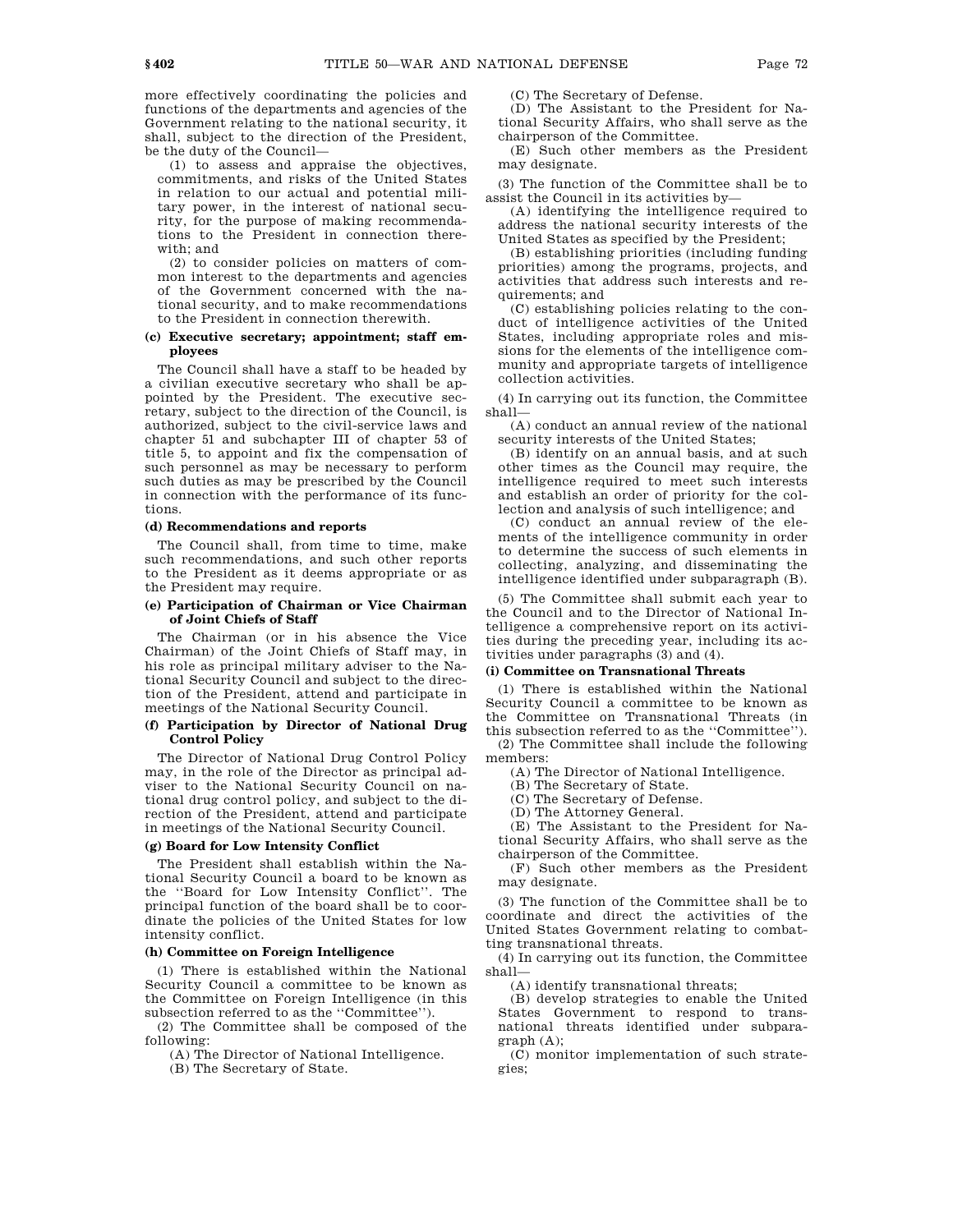more effectively coordinating the policies and functions of the departments and agencies of the Government relating to the national security, it shall, subject to the direction of the President, be the duty of the Council—

(1) to assess and appraise the objectives, commitments, and risks of the United States in relation to our actual and potential military power, in the interest of national security, for the purpose of making recommendations to the President in connection therewith; and

(2) to consider policies on matters of common interest to the departments and agencies of the Government concerned with the national security, and to make recommendations to the President in connection therewith.

# **(c) Executive secretary; appointment; staff employees**

The Council shall have a staff to be headed by a civilian executive secretary who shall be appointed by the President. The executive secretary, subject to the direction of the Council, is authorized, subject to the civil-service laws and chapter 51 and subchapter III of chapter 53 of title 5, to appoint and fix the compensation of such personnel as may be necessary to perform such duties as may be prescribed by the Council in connection with the performance of its functions.

# **(d) Recommendations and reports**

The Council shall, from time to time, make such recommendations, and such other reports to the President as it deems appropriate or as the President may require.

## **(e) Participation of Chairman or Vice Chairman of Joint Chiefs of Staff**

The Chairman (or in his absence the Vice Chairman) of the Joint Chiefs of Staff may, in his role as principal military adviser to the National Security Council and subject to the direction of the President, attend and participate in meetings of the National Security Council.

## **(f) Participation by Director of National Drug Control Policy**

The Director of National Drug Control Policy may, in the role of the Director as principal adviser to the National Security Council on national drug control policy, and subject to the direction of the President, attend and participate in meetings of the National Security Council.

# **(g) Board for Low Intensity Conflict**

The President shall establish within the National Security Council a board to be known as the ''Board for Low Intensity Conflict''. The principal function of the board shall be to coordinate the policies of the United States for low intensity conflict.

## **(h) Committee on Foreign Intelligence**

(1) There is established within the National Security Council a committee to be known as the Committee on Foreign Intelligence (in this subsection referred to as the ''Committee'').

(2) The Committee shall be composed of the following:

(A) The Director of National Intelligence.

(B) The Secretary of State.

(C) The Secretary of Defense.

(D) The Assistant to the President for National Security Affairs, who shall serve as the chairperson of the Committee.

(E) Such other members as the President may designate.

(3) The function of the Committee shall be to assist the Council in its activities by—

(A) identifying the intelligence required to address the national security interests of the United States as specified by the President;

(B) establishing priorities (including funding priorities) among the programs, projects, and activities that address such interests and requirements; and

(C) establishing policies relating to the conduct of intelligence activities of the United States, including appropriate roles and missions for the elements of the intelligence community and appropriate targets of intelligence collection activities.

(4) In carrying out its function, the Committee shall—

(A) conduct an annual review of the national security interests of the United States;

(B) identify on an annual basis, and at such other times as the Council may require, the intelligence required to meet such interests and establish an order of priority for the collection and analysis of such intelligence; and

(C) conduct an annual review of the elements of the intelligence community in order to determine the success of such elements in collecting, analyzing, and disseminating the intelligence identified under subparagraph (B).

(5) The Committee shall submit each year to the Council and to the Director of National Intelligence a comprehensive report on its activities during the preceding year, including its activities under paragraphs (3) and (4).

## **(i) Committee on Transnational Threats**

(1) There is established within the National Security Council a committee to be known as the Committee on Transnational Threats (in this subsection referred to as the ''Committee'').

(2) The Committee shall include the following members:

(A) The Director of National Intelligence.

(B) The Secretary of State.

(C) The Secretary of Defense.

(D) The Attorney General.

(E) The Assistant to the President for National Security Affairs, who shall serve as the chairperson of the Committee.

(F) Such other members as the President may designate.

(3) The function of the Committee shall be to coordinate and direct the activities of the United States Government relating to combatting transnational threats.

(4) In carrying out its function, the Committee shall—

(A) identify transnational threats;

(B) develop strategies to enable the United States Government to respond to transnational threats identified under subparagraph (A);

(C) monitor implementation of such strategies;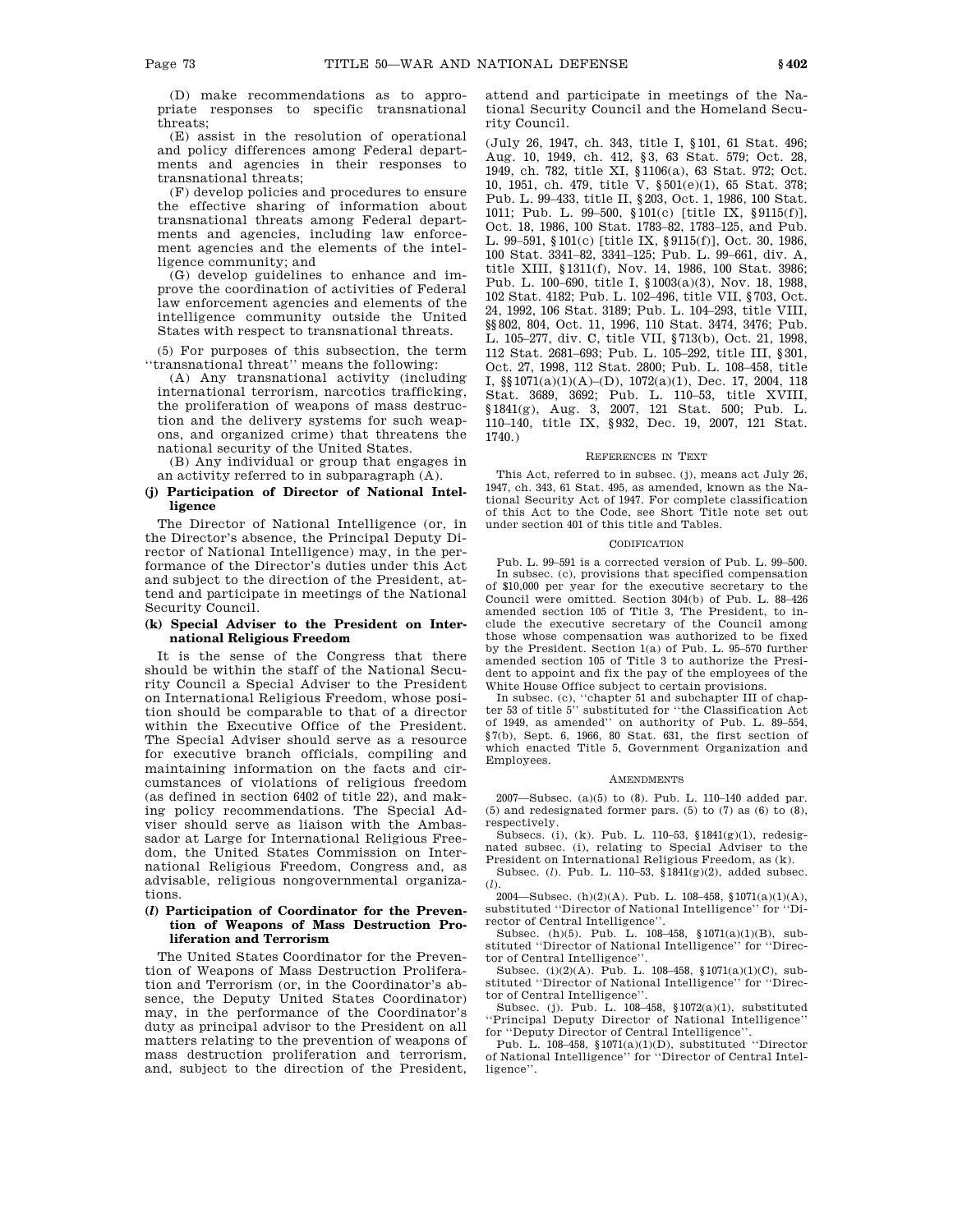(D) make recommendations as to appropriate responses to specific transnational threats;

(E) assist in the resolution of operational and policy differences among Federal departments and agencies in their responses to transnational threats;

(F) develop policies and procedures to ensure the effective sharing of information about transnational threats among Federal departments and agencies, including law enforcement agencies and the elements of the intelligence community; and

(G) develop guidelines to enhance and improve the coordination of activities of Federal law enforcement agencies and elements of the intelligence community outside the United States with respect to transnational threats.

(5) For purposes of this subsection, the term ''transnational threat'' means the following:

(A) Any transnational activity (including international terrorism, narcotics trafficking, the proliferation of weapons of mass destruction and the delivery systems for such weapons, and organized crime) that threatens the national security of the United States.

(B) Any individual or group that engages in an activity referred to in subparagraph (A).

# **(j) Participation of Director of National Intelligence**

The Director of National Intelligence (or, in the Director's absence, the Principal Deputy Director of National Intelligence) may, in the performance of the Director's duties under this Act and subject to the direction of the President, attend and participate in meetings of the National Security Council.

# **(k) Special Adviser to the President on International Religious Freedom**

It is the sense of the Congress that there should be within the staff of the National Security Council a Special Adviser to the President on International Religious Freedom, whose position should be comparable to that of a director within the Executive Office of the President. The Special Adviser should serve as a resource for executive branch officials, compiling and maintaining information on the facts and circumstances of violations of religious freedom (as defined in section 6402 of title 22), and making policy recommendations. The Special Adviser should serve as liaison with the Ambassador at Large for International Religious Freedom, the United States Commission on International Religious Freedom, Congress and, as advisable, religious nongovernmental organizations.

## **(***l***) Participation of Coordinator for the Prevention of Weapons of Mass Destruction Proliferation and Terrorism**

The United States Coordinator for the Prevention of Weapons of Mass Destruction Proliferation and Terrorism (or, in the Coordinator's absence, the Deputy United States Coordinator) may, in the performance of the Coordinator's duty as principal advisor to the President on all matters relating to the prevention of weapons of mass destruction proliferation and terrorism, and, subject to the direction of the President,

attend and participate in meetings of the National Security Council and the Homeland Security Council.

(July 26, 1947, ch. 343, title I, §101, 61 Stat. 496; Aug. 10, 1949, ch. 412, §3, 63 Stat. 579; Oct. 28, 1949, ch. 782, title XI, §1106(a), 63 Stat. 972; Oct. 10, 1951, ch. 479, title V, §501(e)(1), 65 Stat. 378; Pub. L. 99–433, title II, §203, Oct. 1, 1986, 100 Stat. 1011; Pub. L. 99–500, §101(c) [title IX, §9115(f)], Oct. 18, 1986, 100 Stat. 1783–82, 1783–125, and Pub. L. 99–591, §101(c) [title IX, §9115(f)], Oct. 30, 1986, 100 Stat. 3341–82, 3341–125; Pub. L. 99–661, div. A, title XIII, §1311(f), Nov. 14, 1986, 100 Stat. 3986; Pub. L. 100–690, title I, §1003(a)(3), Nov. 18, 1988, 102 Stat. 4182; Pub. L. 102–496, title VII, §703, Oct. 24, 1992, 106 Stat. 3189; Pub. L. 104–293, title VIII, §§802, 804, Oct. 11, 1996, 110 Stat. 3474, 3476; Pub. L. 105–277, div. C, title VII, §713(b), Oct. 21, 1998, 112 Stat. 2681–693; Pub. L. 105–292, title III, §301, Oct. 27, 1998, 112 Stat. 2800; Pub. L. 108–458, title I, §§1071(a)(1)(A)–(D), 1072(a)(1), Dec. 17, 2004, 118 Stat. 3689, 3692; Pub. L. 110–53, title XVIII, §1841(g), Aug. 3, 2007, 121 Stat. 500; Pub. L. 110–140, title IX, §932, Dec. 19, 2007, 121 Stat. 1740.)

### REFERENCES IN TEXT

This Act, referred to in subsec. (j), means act July 26, 1947, ch. 343, 61 Stat. 495, as amended, known as the National Security Act of 1947. For complete classification of this Act to the Code, see Short Title note set out under section 401 of this title and Tables.

#### CODIFICATION

Pub. L. 99–591 is a corrected version of Pub. L. 99–500. In subsec. (c), provisions that specified compensation of \$10,000 per year for the executive secretary to the Council were omitted. Section 304(b) of Pub. L. 88–426 amended section 105 of Title 3, The President, to include the executive secretary of the Council among those whose compensation was authorized to be fixed by the President. Section 1(a) of Pub. L. 95–570 further amended section 105 of Title 3 to authorize the President to appoint and fix the pay of the employees of the White House Office subject to certain provisions.

In subsec. (c), ''chapter 51 and subchapter III of chapter 53 of title 5'' substituted for ''the Classification Act of 1949, as amended'' on authority of Pub. L. 89–554, §7(b), Sept. 6, 1966, 80 Stat. 631, the first section of which enacted Title 5, Government Organization and Employees.

### AMENDMENTS

2007—Subsec. (a)(5) to (8). Pub. L. 110–140 added par. (5) and redesignated former pars. (5) to (7) as (6) to (8), respectively.

Subsecs. (i), (k). Pub. L. 110–53, §1841(g)(1), redesignated subsec. (i), relating to Special Adviser to the President on International Religious Freedom, as (k).

Subsec. (*l*). Pub. L. 110–53, §1841(g)(2), added subsec. (*l*).

2004—Subsec. (h)(2)(A). Pub. L. 108–458, §1071(a)(1)(A), substituted ''Director of National Intelligence'' for ''Director of Central Intelligence''.

Subsec. (h)(5). Pub. L. 108–458, §1071(a)(1)(B), substituted ''Director of National Intelligence'' for ''Director of Central Intelligence''.

Subsec. (i)(2)(A). Pub. L. 108–458, §1071(a)(1)(C), substituted ''Director of National Intelligence'' for ''Director of Central Intelligence''.

Subsec. (j). Pub. L. 108–458, §1072(a)(1), substituted ''Principal Deputy Director of National Intelligence'' for ''Deputy Director of Central Intelligence''.

Pub. L. 108–458, §1071(a)(1)(D), substituted ''Director of National Intelligence'' for ''Director of Central Intelligence''.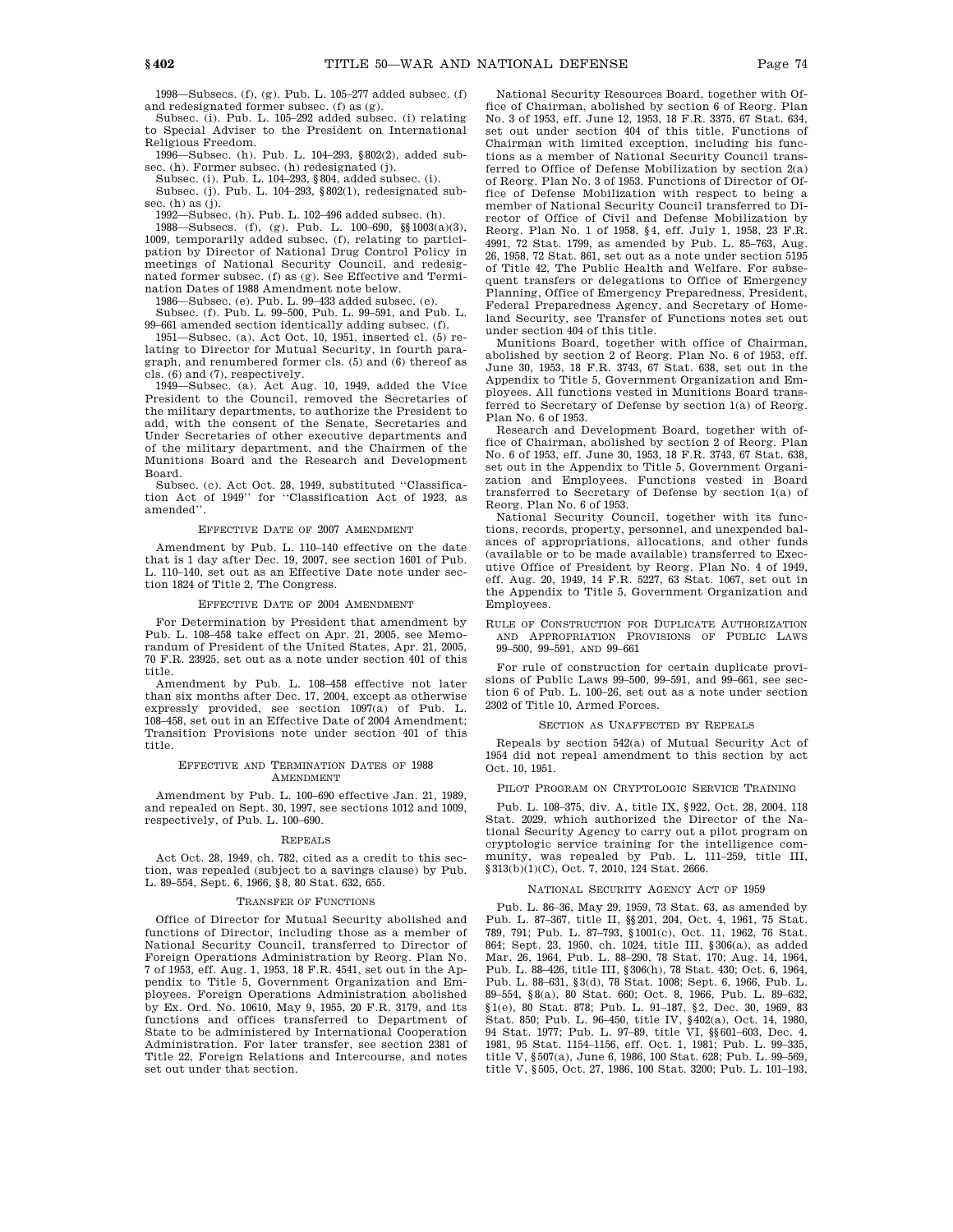1998—Subsecs. (f), (g). Pub. L. 105–277 added subsec. (f) and redesignated former subsec. (f) as (g).

Subsec. (i). Pub. L. 105–292 added subsec. (i) relating to Special Adviser to the President on International Religious Freedom.

1996—Subsec. (h). Pub. L. 104–293, §802(2), added subsec. (h). Former subsec. (h) redesignated (j).

Subsec. (i). Pub. L. 104–293, §804, added subsec. (i).

Subsec. (j). Pub. L. 104–293, §802(1), redesignated subsec. (h) as (j).

1992—Subsec. (h). Pub. L. 102–496 added subsec. (h). 1988—Subsecs. (f), (g). Pub. L. 100–690, §§1003(a)(3),

1009, temporarily added subsec. (f), relating to participation by Director of National Drug Control Policy in meetings of National Security Council, and redesignated former subsec. (f) as (g). See Effective and Termination Dates of 1988 Amendment note below.

1986—Subsec. (e). Pub. L. 99–433 added subsec. (e).

Subsec. (f). Pub. L. 99–500, Pub. L. 99–591, and Pub. L. 99–661 amended section identically adding subsec. (f).

1951—Subsec. (a). Act Oct. 10, 1951, inserted cl. (5) relating to Director for Mutual Security, in fourth paragraph, and renumbered former cls. (5) and (6) thereof as cls. (6) and (7), respectively.

 $1949$ —Subsec. (a). Act Aug. 10, 1949, added the Vice President to the Council, removed the Secretaries of the military departments, to authorize the President to add, with the consent of the Senate, Secretaries and Under Secretaries of other executive departments and of the military department, and the Chairmen of the Munitions Board and the Research and Development Board.

Subsec. (c). Act Oct. 28, 1949, substituted ''Classification Act of 1949'' for ''Classification Act of 1923, as amended''.

## EFFECTIVE DATE OF 2007 AMENDMENT

Amendment by Pub. L. 110–140 effective on the date that is 1 day after Dec. 19, 2007, see section 1601 of Pub. L. 110–140, set out as an Effective Date note under section 1824 of Title 2, The Congress.

#### EFFECTIVE DATE OF 2004 AMENDMENT

For Determination by President that amendment by Pub. L. 108–458 take effect on Apr. 21, 2005, see Memorandum of President of the United States, Apr. 21, 2005, 70 F.R. 23925, set out as a note under section 401 of this title.

Amendment by Pub. L. 108–458 effective not later than six months after Dec. 17, 2004, except as otherwise expressly provided, see section 1097(a) of Pub. L. 108–458, set out in an Effective Date of 2004 Amendment; Transition Provisions note under section 401 of this title.

#### EFFECTIVE AND TERMINATION DATES OF 1988 AMENDMENT

Amendment by Pub. L. 100–690 effective Jan. 21, 1989, and repealed on Sept. 30, 1997, see sections 1012 and 1009, respectively, of Pub. L. 100–690.

#### REPEALS

Act Oct. 28, 1949, ch. 782, cited as a credit to this section, was repealed (subject to a savings clause) by Pub. L. 89–554, Sept. 6, 1966, §8, 80 Stat. 632, 655.

#### TRANSFER OF FUNCTIONS

Office of Director for Mutual Security abolished and functions of Director, including those as a member of National Security Council, transferred to Director of Foreign Operations Administration by Reorg. Plan No. 7 of 1953, eff. Aug. 1, 1953, 18 F.R. 4541, set out in the Appendix to Title 5, Government Organization and Employees. Foreign Operations Administration abolished by Ex. Ord. No. 10610, May 9, 1955, 20 F.R. 3179, and its functions and offices transferred to Department of State to be administered by International Cooperation Administration. For later transfer, see section 2381 of Title 22, Foreign Relations and Intercourse, and notes set out under that section.

National Security Resources Board, together with Office of Chairman, abolished by section 6 of Reorg. Plan No. 3 of 1953, eff. June 12, 1953, 18 F.R. 3375, 67 Stat. 634, set out under section 404 of this title. Functions of Chairman with limited exception, including his functions as a member of National Security Council transferred to Office of Defense Mobilization by section 2(a) of Reorg. Plan No. 3 of 1953. Functions of Director of Office of Defense Mobilization with respect to being a member of National Security Council transferred to Director of Office of Civil and Defense Mobilization by Reorg. Plan No. 1 of 1958, §4, eff. July 1, 1958, 23 F.R. 4991, 72 Stat. 1799, as amended by Pub. L. 85–763, Aug. 26, 1958, 72 Stat. 861, set out as a note under section 5195 of Title 42, The Public Health and Welfare. For subsequent transfers or delegations to Office of Emergency Planning, Office of Emergency Preparedness, President, Federal Preparedness Agency, and Secretary of Homeland Security, see Transfer of Functions notes set out under section 404 of this title.

Munitions Board, together with office of Chairman, abolished by section 2 of Reorg. Plan No. 6 of 1953, eff. June 30, 1953, 18 F.R. 3743, 67 Stat. 638, set out in the Appendix to Title 5, Government Organization and Employees. All functions vested in Munitions Board transferred to Secretary of Defense by section 1(a) of Reorg. Plan No. 6 of 1953.

Research and Development Board, together with office of Chairman, abolished by section 2 of Reorg. Plan No. 6 of 1953, eff. June 30, 1953, 18 F.R. 3743, 67 Stat. 638, set out in the Appendix to Title 5, Government Organization and Employees. Functions vested in Board transferred to Secretary of Defense by section 1(a) of Reorg. Plan No. 6 of 1953.

National Security Council, together with its functions, records, property, personnel, and unexpended balances of appropriations, allocations, and other funds (available or to be made available) transferred to Executive Office of President by Reorg. Plan No. 4 of 1949, eff. Aug. 20, 1949, 14 F.R. 5227, 63 Stat. 1067, set out in the Appendix to Title 5, Government Organization and Employees.

RULE OF CONSTRUCTION FOR DUPLICATE AUTHORIZATION AND APPROPRIATION PROVISIONS OF PUBLIC LAWS 99–500, 99–591, AND 99–661

For rule of construction for certain duplicate provisions of Public Laws 99–500, 99–591, and 99–661, see section 6 of Pub. L. 100–26, set out as a note under section 2302 of Title 10, Armed Forces.

### SECTION AS UNAFFECTED BY REPEALS

Repeals by section 542(a) of Mutual Security Act of 1954 did not repeal amendment to this section by act Oct. 10, 1951.

#### PILOT PROGRAM ON CRYPTOLOGIC SERVICE TRAINING

Pub. L. 108–375, div. A, title IX, §922, Oct. 28, 2004, 118 Stat. 2029, which authorized the Director of the National Security Agency to carry out a pilot program on cryptologic service training for the intelligence community, was repealed by Pub. L. 111–259, title III, §313(b)(1)(C), Oct. 7, 2010, 124 Stat. 2666.

#### NATIONAL SECURITY AGENCY ACT OF 1959

Pub. L. 86–36, May 29, 1959, 73 Stat. 63, as amended by Pub. L. 87–367, title II, §§201, 204, Oct. 4, 1961, 75 Stat. 789, 791; Pub. L. 87–793, §1001(c), Oct. 11, 1962, 76 Stat. 864; Sept. 23, 1950, ch. 1024, title III, §306(a), as added Mar. 26, 1964, Pub. L. 88–290, 78 Stat. 170; Aug. 14, 1964, Pub. L. 88–426, title III, §306(h), 78 Stat. 430; Oct. 6, 1964, Pub. L. 88–631, §3(d), 78 Stat. 1008; Sept. 6, 1966, Pub. L. 89–554, §8(a), 80 Stat. 660; Oct. 8, 1966, Pub. L. 89–632, §1(e), 80 Stat. 878; Pub. L. 91–187, §2, Dec. 30, 1969, 83 Stat. 850; Pub. L. 96–450, title IV, §402(a), Oct. 14, 1980, 94 Stat. 1977; Pub. L. 97–89, title VI, §§601–603, Dec. 4, 1981, 95 Stat. 1154–1156, eff. Oct. 1, 1981; Pub. L. 99–335, title V, §507(a), June 6, 1986, 100 Stat. 628; Pub. L. 99–569, title V, §505, Oct. 27, 1986, 100 Stat. 3200; Pub. L. 101–193,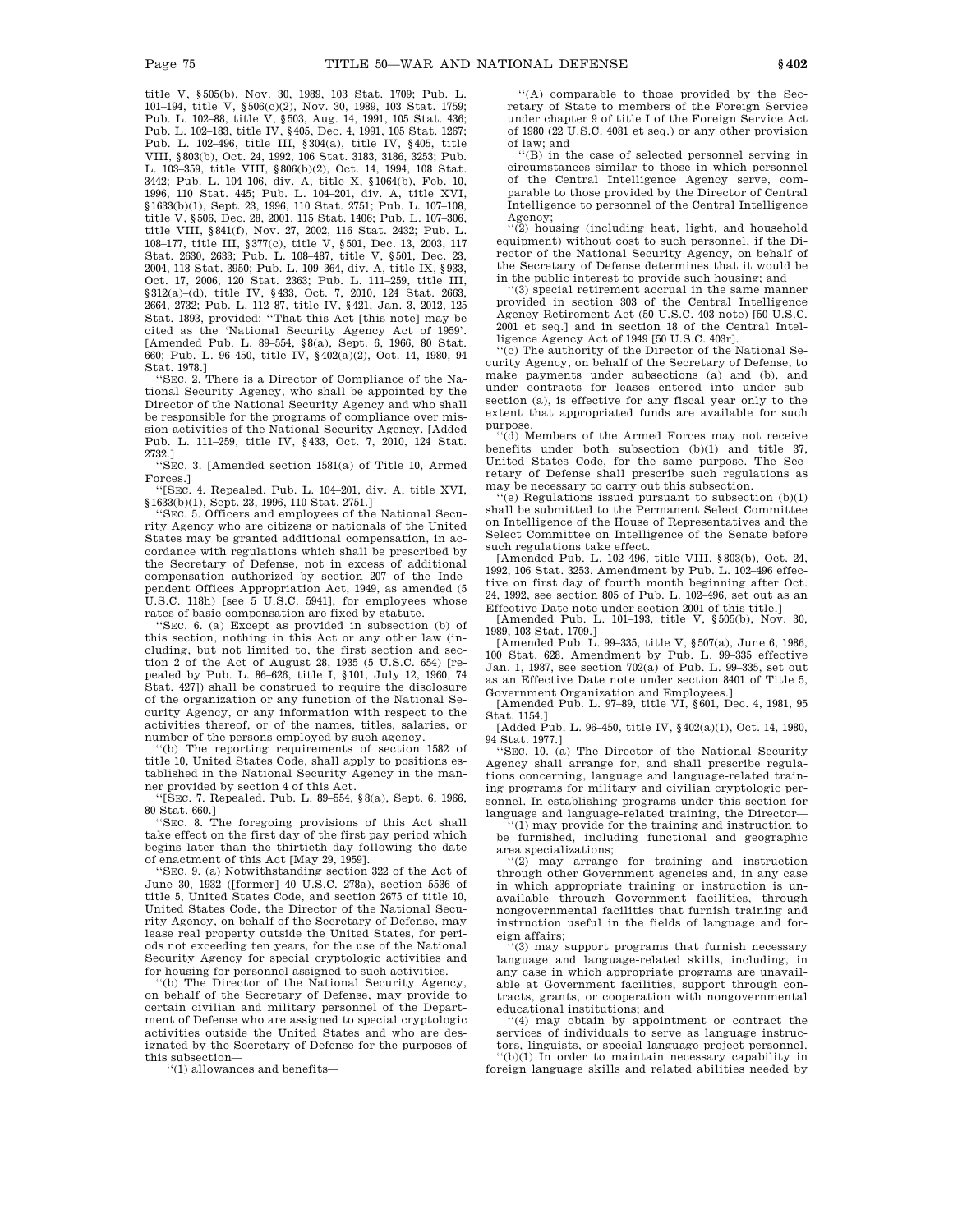title V, §505(b), Nov. 30, 1989, 103 Stat. 1709; Pub. L. 101–194, title V, §506(c)(2), Nov. 30, 1989, 103 Stat. 1759; Pub. L. 102–88, title V, §503, Aug. 14, 1991, 105 Stat. 436; Pub. L. 102–183, title IV, §405, Dec. 4, 1991, 105 Stat. 1267; Pub. L. 102–496, title III, §304(a), title IV, §405, title VIII, §803(b), Oct. 24, 1992, 106 Stat. 3183, 3186, 3253; Pub. L. 103–359, title VIII, §806(b)(2), Oct. 14, 1994, 108 Stat. 3442; Pub. L. 104–106, div. A, title X, §1064(b), Feb. 10, 1996, 110 Stat. 445; Pub. L. 104–201, div. A, title XVI, §1633(b)(1), Sept. 23, 1996, 110 Stat. 2751; Pub. L. 107–108, title V, §506, Dec. 28, 2001, 115 Stat. 1406; Pub. L. 107–306, title VIII, §841(f), Nov. 27, 2002, 116 Stat. 2432; Pub. L. 108–177, title III, §377(c), title V, §501, Dec. 13, 2003, 117 Stat. 2630, 2633; Pub. L. 108–487, title V, §501, Dec. 23, 2004, 118 Stat. 3950; Pub. L. 109–364, div. A, title IX, §933, Oct. 17, 2006, 120 Stat. 2363; Pub. L. 111–259, title III, §312(a)–(d), title IV, §433, Oct. 7, 2010, 124 Stat. 2663, 2664, 2732; Pub. L. 112–87, title IV, §421, Jan. 3, 2012, 125 Stat. 1893, provided: ''That this Act [this note] may be cited as the 'National Security Agency Act of 1959'. [Amended Pub. L. 89–554, §8(a), Sept. 6, 1966, 80 Stat. 660; Pub. L. 96–450, title IV, §402(a)(2), Oct. 14, 1980, 94

Stat. 1978.] ''SEC. 2. There is a Director of Compliance of the National Security Agency, who shall be appointed by the Director of the National Security Agency and who shall be responsible for the programs of compliance over mission activities of the National Security Agency. [Added Pub. L. 111–259, title IV, §433, Oct. 7, 2010, 124 Stat. 2732.]

''SEC. 3. [Amended section 1581(a) of Title 10, Armed Forces.]

''[SEC. 4. Repealed. Pub. L. 104–201, div. A, title XVI, §1633(b)(1), Sept. 23, 1996, 110 Stat. 2751.]

''SEC. 5. Officers and employees of the National Security Agency who are citizens or nationals of the United States may be granted additional compensation, in accordance with regulations which shall be prescribed by the Secretary of Defense, not in excess of additional compensation authorized by section 207 of the Independent Offices Appropriation Act, 1949, as amended (5 U.S.C. 118h) [see 5 U.S.C. 5941], for employees whose rates of basic compensation are fixed by statute.

''SEC. 6. (a) Except as provided in subsection (b) of this section, nothing in this Act or any other law (including, but not limited to, the first section and section 2 of the Act of August 28, 1935 (5 U.S.C. 654) [repealed by Pub. L. 86–626, title I, §101, July 12, 1960, 74 Stat. 427]) shall be construed to require the disclosure of the organization or any function of the National Security Agency, or any information with respect to the activities thereof, or of the names, titles, salaries, or number of the persons employed by such agency.

'(b) The reporting requirements of section 1582 of title 10, United States Code, shall apply to positions established in the National Security Agency in the manner provided by section 4 of this Act.

[SEC. 7. Repealed. Pub. L. 89-554, §8(a), Sept. 6, 1966, 80 Stat. 660.]

'SEC. 8. The foregoing provisions of this Act shall take effect on the first day of the first pay period which begins later than the thirtieth day following the date of enactment of this Act [May 29, 1959].

'SEC. 9. (a) Notwithstanding section 322 of the Act of June 30, 1932 ([former] 40 U.S.C. 278a), section 5536 of title 5, United States Code, and section 2675 of title 10, United States Code, the Director of the National Security Agency, on behalf of the Secretary of Defense, may lease real property outside the United States, for periods not exceeding ten years, for the use of the National Security Agency for special cryptologic activities and for housing for personnel assigned to such activities.

'(b) The Director of the National Security Agency, on behalf of the Secretary of Defense, may provide to certain civilian and military personnel of the Department of Defense who are assigned to special cryptologic activities outside the United States and who are designated by the Secretary of Defense for the purposes of this subsection—

''(1) allowances and benefits—

''(A) comparable to those provided by the Secretary of State to members of the Foreign Service under chapter 9 of title I of the Foreign Service Act of 1980 (22 U.S.C. 4081 et seq.) or any other provision of law; and

''(B) in the case of selected personnel serving in circumstances similar to those in which personnel of the Central Intelligence Agency serve, comparable to those provided by the Director of Central Intelligence to personnel of the Central Intelligence Agency;

''(2) housing (including heat, light, and household equipment) without cost to such personnel, if the Director of the National Security Agency, on behalf of the Secretary of Defense determines that it would be in the public interest to provide such housing; and

''(3) special retirement accrual in the same manner provided in section 303 of the Central Intelligence Agency Retirement Act (50 U.S.C. 403 note) [50 U.S.C. 2001 et seq.] and in section 18 of the Central Intelligence Agency Act of 1949 [50 U.S.C. 403r].

''(c) The authority of the Director of the National Security Agency, on behalf of the Secretary of Defense, to make payments under subsections (a) and (b), and under contracts for leases entered into under subsection (a), is effective for any fiscal year only to the extent that appropriated funds are available for such purpose.

''(d) Members of the Armed Forces may not receive benefits under both subsection (b)(1) and title 37, United States Code, for the same purpose. The Secretary of Defense shall prescribe such regulations as may be necessary to carry out this subsection.

 $(e)$  Regulations issued pursuant to subsection  $(b)(1)$ shall be submitted to the Permanent Select Committee on Intelligence of the House of Representatives and the Select Committee on Intelligence of the Senate before such regulations take effect.

[Amended Pub. L. 102–496, title VIII, §803(b), Oct. 24, 1992, 106 Stat. 3253. Amendment by Pub. L. 102–496 effective on first day of fourth month beginning after Oct. 24, 1992, see section 805 of Pub. L. 102–496, set out as an Effective Date note under section 2001 of this title.]

[Amended Pub. L. 101–193, title V, §505(b), Nov. 30,

1989, 103 Stat. 1709.] [Amended Pub. L. 99–335, title V, §507(a), June 6, 1986, 100 Stat. 628. Amendment by Pub. L. 99–335 effective Jan. 1, 1987, see section 702(a) of Pub. L. 99–335, set out as an Effective Date note under section 8401 of Title 5, Government Organization and Employees.]

[Amended Pub. L. 97–89, title VI, §601, Dec. 4, 1981, 95 Stat. 1154.]

[Added Pub. L. 96–450, title IV, §402(a)(1), Oct. 14, 1980, 94 Stat. 1977.]

''SEC. 10. (a) The Director of the National Security Agency shall arrange for, and shall prescribe regulations concerning, language and language-related training programs for military and civilian cryptologic personnel. In establishing programs under this section for language and language-related training, the Director—

 $(1)$  may provide for the training and instruction to be furnished, including functional and geographic area specializations;

''(2) may arrange for training and instruction through other Government agencies and, in any case in which appropriate training or instruction is unavailable through Government facilities, through nongovernmental facilities that furnish training and instruction useful in the fields of language and foreign affairs;

''(3) may support programs that furnish necessary language and language-related skills, including, in any case in which appropriate programs are unavailable at Government facilities, support through contracts, grants, or cooperation with nongovernmental educational institutions; and

''(4) may obtain by appointment or contract the services of individuals to serve as language instructors, linguists, or special language project personnel. ''(b)(1) In order to maintain necessary capability in

foreign language skills and related abilities needed by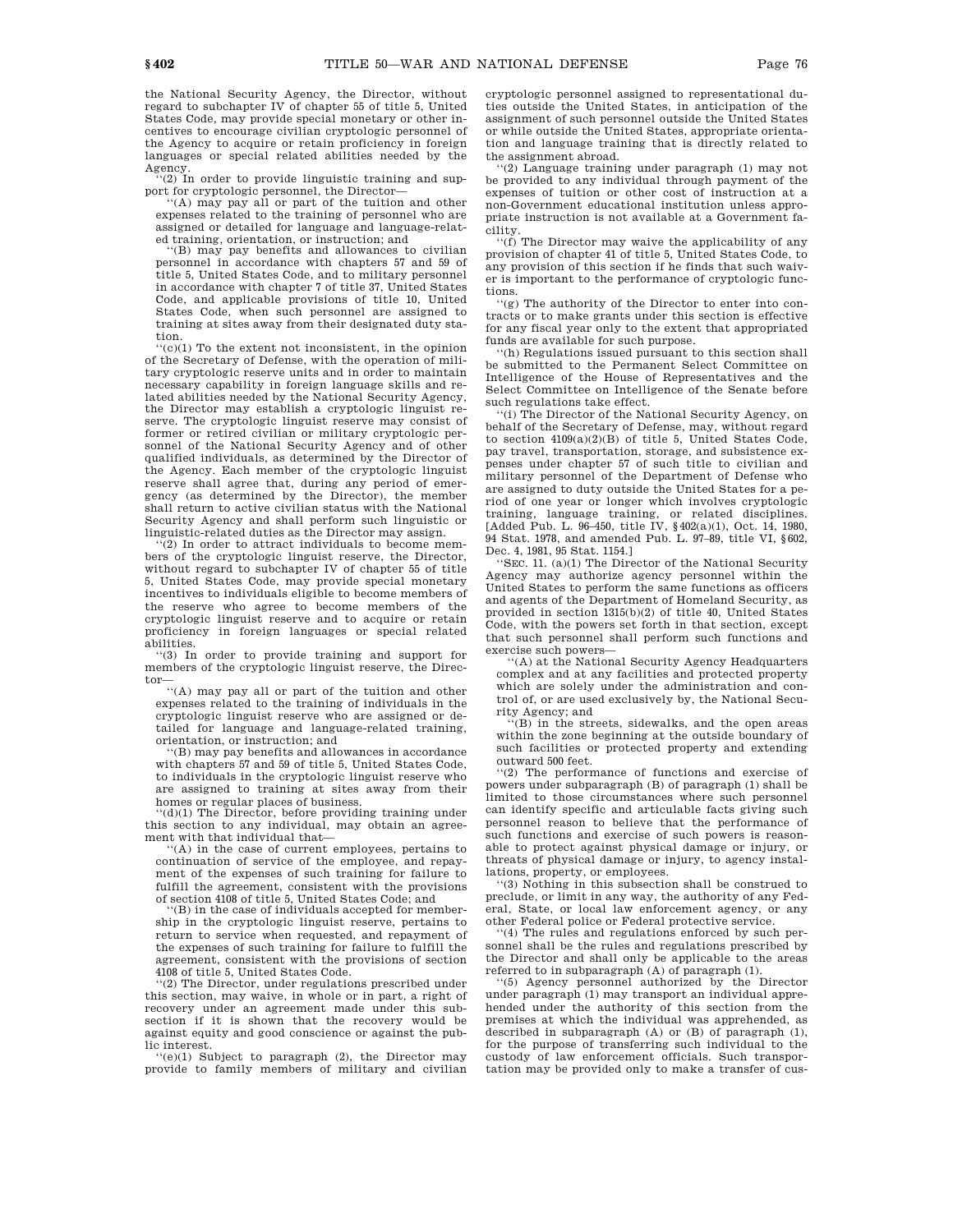the National Security Agency, the Director, without regard to subchapter IV of chapter 55 of title 5, United States Code, may provide special monetary or other incentives to encourage civilian cryptologic personnel of the Agency to acquire or retain proficiency in foreign languages or special related abilities needed by the Agency.

''(2) In order to provide linguistic training and support for cryptologic personnel, the Director—

''(A) may pay all or part of the tuition and other expenses related to the training of personnel who are assigned or detailed for language and language-related training, orientation, or instruction; and ''(B) may pay benefits and allowances to civilian

personnel in accordance with chapters 57 and 59 of title 5, United States Code, and to military personnel in accordance with chapter 7 of title 37, United States Code, and applicable provisions of title 10, United States Code, when such personnel are assigned to training at sites away from their designated duty station.

 $C<sup>1</sup>(c)(1)$  To the extent not inconsistent, in the opinion of the Secretary of Defense, with the operation of military cryptologic reserve units and in order to maintain necessary capability in foreign language skills and related abilities needed by the National Security Agency, the Director may establish a cryptologic linguist reserve. The cryptologic linguist reserve may consist of former or retired civilian or military cryptologic personnel of the National Security Agency and of other qualified individuals, as determined by the Director of the Agency. Each member of the cryptologic linguist reserve shall agree that, during any period of emergency (as determined by the Director), the member shall return to active civilian status with the National Security Agency and shall perform such linguistic or linguistic-related duties as the Director may assign.

''(2) In order to attract individuals to become members of the cryptologic linguist reserve, the Director, without regard to subchapter IV of chapter 55 of title 5, United States Code, may provide special monetary incentives to individuals eligible to become members of the reserve who agree to become members of the cryptologic linguist reserve and to acquire or retain proficiency in foreign languages or special related abilities.

''(3) In order to provide training and support for members of the cryptologic linguist reserve, the Director—

''(A) may pay all or part of the tuition and other expenses related to the training of individuals in the cryptologic linguist reserve who are assigned or detailed for language and language-related training, orientation, or instruction; and

''(B) may pay benefits and allowances in accordance with chapters 57 and 59 of title 5, United States Code, to individuals in the cryptologic linguist reserve who are assigned to training at sites away from their

homes or regular places of business. ''(d)(1) The Director, before providing training under this section to any individual, may obtain an agreement with that individual that—

''(A) in the case of current employees, pertains to continuation of service of the employee, and repayment of the expenses of such training for failure to fulfill the agreement, consistent with the provisions of section 4108 of title 5, United States Code; and

''(B) in the case of individuals accepted for membership in the cryptologic linguist reserve, pertains to return to service when requested, and repayment of the expenses of such training for failure to fulfill the agreement, consistent with the provisions of section

4108 of title 5, United States Code. ''(2) The Director, under regulations prescribed under this section, may waive, in whole or in part, a right of recovery under an agreement made under this subsection if it is shown that the recovery would be against equity and good conscience or against the pub-

lic interest. ''(e)(1) Subject to paragraph (2), the Director may provide to family members of military and civilian cryptologic personnel assigned to representational duties outside the United States, in anticipation of the assignment of such personnel outside the United States or while outside the United States, appropriate orientation and language training that is directly related to the assignment abroad.

''(2) Language training under paragraph (1) may not be provided to any individual through payment of the expenses of tuition or other cost of instruction at a non-Government educational institution unless appropriate instruction is not available at a Government facility.

''(f) The Director may waive the applicability of any provision of chapter 41 of title 5, United States Code, to any provision of this section if he finds that such waiver is important to the performance of cryptologic functions.

''(g) The authority of the Director to enter into contracts or to make grants under this section is effective for any fiscal year only to the extent that appropriated funds are available for such purpose.

'(h) Regulations issued pursuant to this section shall be submitted to the Permanent Select Committee on Intelligence of the House of Representatives and the Select Committee on Intelligence of the Senate before such regulations take effect.

''(i) The Director of the National Security Agency, on behalf of the Secretary of Defense, may, without regard to section 4109(a)(2)(B) of title 5, United States Code, pay travel, transportation, storage, and subsistence expenses under chapter 57 of such title to civilian and military personnel of the Department of Defense who are assigned to duty outside the United States for a period of one year or longer which involves cryptologic training, language training, or related disciplines. [Added Pub. L. 96-450, title IV, §402(a)(1), Oct. 14, 1980, 94 Stat. 1978, and amended Pub. L. 97–89, title VI, §602, Dec. 4, 1981, 95 Stat. 1154.]

''SEC. 11. (a)(1) The Director of the National Security Agency may authorize agency personnel within the United States to perform the same functions as officers and agents of the Department of Homeland Security, as provided in section 1315(b)(2) of title 40, United States Code, with the powers set forth in that section, except that such personnel shall perform such functions and exercise such powers—

'(A) at the National Security Agency Headquarters complex and at any facilities and protected property which are solely under the administration and control of, or are used exclusively by, the National Security Agency; and

 $($ B) in the streets, sidewalks, and the open areas within the zone beginning at the outside boundary of such facilities or protected property and extending outward 500 feet.

''(2) The performance of functions and exercise of powers under subparagraph (B) of paragraph (1) shall be limited to those circumstances where such personnel can identify specific and articulable facts giving such personnel reason to believe that the performance of such functions and exercise of such powers is reasonable to protect against physical damage or injury, or threats of physical damage or injury, to agency installations, property, or employees.

''(3) Nothing in this subsection shall be construed to preclude, or limit in any way, the authority of any Federal, State, or local law enforcement agency, or any other Federal police or Federal protective service.

''(4) The rules and regulations enforced by such personnel shall be the rules and regulations prescribed by the Director and shall only be applicable to the areas referred to in subparagraph (A) of paragraph (1).

''(5) Agency personnel authorized by the Director under paragraph (1) may transport an individual apprehended under the authority of this section from the premises at which the individual was apprehended, as described in subparagraph (A) or (B) of paragraph (1), for the purpose of transferring such individual to the custody of law enforcement officials. Such transportation may be provided only to make a transfer of cus-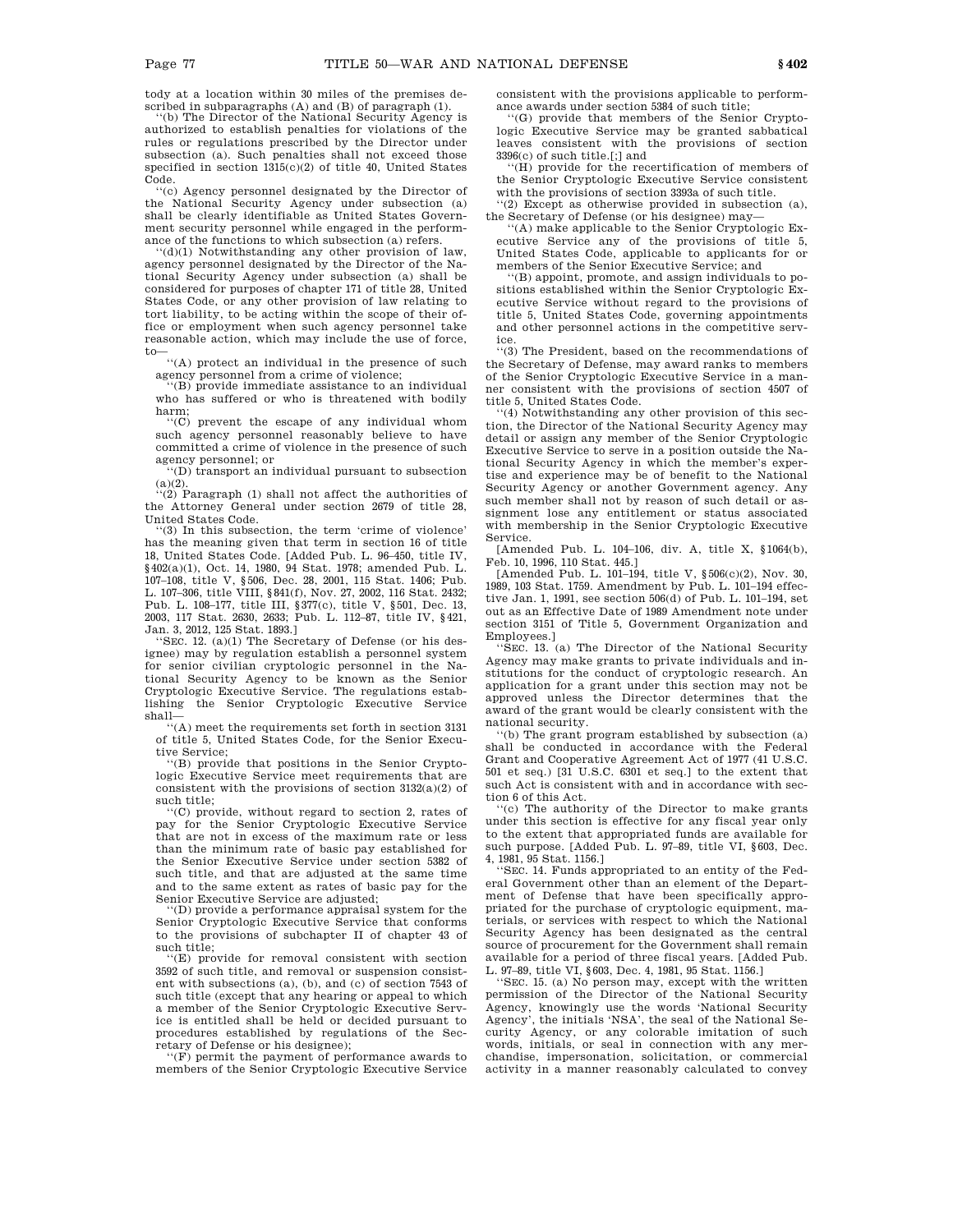tody at a location within 30 miles of the premises described in subparagraphs (A) and (B) of paragraph (1).

''(b) The Director of the National Security Agency is authorized to establish penalties for violations of the rules or regulations prescribed by the Director under subsection (a). Such penalties shall not exceed those specified in section 1315(c)(2) of title 40, United States Code.

''(c) Agency personnel designated by the Director of the National Security Agency under subsection (a) shall be clearly identifiable as United States Government security personnel while engaged in the perform-

ance of the functions to which subsection (a) refers. ''(d)(1) Notwithstanding any other provision of law, agency personnel designated by the Director of the National Security Agency under subsection (a) shall be considered for purposes of chapter 171 of title 28, United States Code, or any other provision of law relating to tort liability, to be acting within the scope of their office or employment when such agency personnel take reasonable action, which may include the use of force, to—

''(A) protect an individual in the presence of such

agency personnel from a crime of violence; ''(B) provide immediate assistance to an individual who has suffered or who is threatened with bodily harm;

''(C) prevent the escape of any individual whom such agency personnel reasonably believe to have committed a crime of violence in the presence of such agency personnel; or

''(D) transport an individual pursuant to subsection

(a)(2). ''(2) Paragraph (1) shall not affect the authorities of the Attorney General under section 2679 of title 28, United States Code.

 $(3)$  In this subsection, the term 'crime of violence' has the meaning given that term in section 16 of title 18, United States Code. [Added Pub. L. 96–450, title IV, §402(a)(1), Oct. 14, 1980, 94 Stat. 1978; amended Pub. L. 107–108, title V, §506, Dec. 28, 2001, 115 Stat. 1406; Pub. L. 107–306, title VIII, §841(f), Nov. 27, 2002, 116 Stat. 2432; Pub. L. 108–177, title III, §377(c), title V, §501, Dec. 13, 2003, 117 Stat. 2630, 2633; Pub. L. 112–87, title IV, §421, Jan. 3, 2012, 125 Stat. 1893.]

 $'$ SEC. 12. (a)(1) The Secretary of Defense (or his designee) may by regulation establish a personnel system for senior civilian cryptologic personnel in the National Security Agency to be known as the Senior Cryptologic Executive Service. The regulations establishing the Senior Cryptologic Executive Service shall—

''(A) meet the requirements set forth in section 3131 of title 5, United States Code, for the Senior Executive Service;

'(B) provide that positions in the Senior Cryptologic Executive Service meet requirements that are consistent with the provisions of section 3132(a)(2) of such title;

''(C) provide, without regard to section 2, rates of pay for the Senior Cryptologic Executive Service that are not in excess of the maximum rate or less than the minimum rate of basic pay established for the Senior Executive Service under section 5382 of such title, and that are adjusted at the same time and to the same extent as rates of basic pay for the Senior Executive Service are adjusted;

''(D) provide a performance appraisal system for the Senior Cryptologic Executive Service that conforms to the provisions of subchapter II of chapter 43 of such title;

''(E) provide for removal consistent with section 3592 of such title, and removal or suspension consistent with subsections (a), (b), and (c) of section 7543 of such title (except that any hearing or appeal to which a member of the Senior Cryptologic Executive Service is entitled shall be held or decided pursuant to procedures established by regulations of the Sec-

retary of Defense or his designee); ''(F) permit the payment of performance awards to members of the Senior Cryptologic Executive Service consistent with the provisions applicable to performance awards under section 5384 of such title;

''(G) provide that members of the Senior Cryptologic Executive Service may be granted sabbatical leaves consistent with the provisions of section 3396(c) of such title.[;] and

''(H) provide for the recertification of members of the Senior Cryptologic Executive Service consistent with the provisions of section 3393a of such title.

''(2) Except as otherwise provided in subsection (a), the Secretary of Defense (or his designee) may—

''(A) make applicable to the Senior Cryptologic Executive Service any of the provisions of title 5, United States Code, applicable to applicants for or members of the Senior Executive Service; and

''(B) appoint, promote, and assign individuals to positions established within the Senior Cryptologic Executive Service without regard to the provisions of title 5, United States Code, governing appointments and other personnel actions in the competitive service.

''(3) The President, based on the recommendations of the Secretary of Defense, may award ranks to members of the Senior Cryptologic Executive Service in a manner consistent with the provisions of section 4507 of title 5, United States Code.

''(4) Notwithstanding any other provision of this section, the Director of the National Security Agency may detail or assign any member of the Senior Cryptologic Executive Service to serve in a position outside the National Security Agency in which the member's expertise and experience may be of benefit to the National Security Agency or another Government agency. Any such member shall not by reason of such detail or assignment lose any entitlement or status associated with membership in the Senior Cryptologic Executive Service.

[Amended Pub. L. 104–106, div. A, title X, §1064(b), Feb. 10, 1996, 110 Stat. 445.]

[Amended Pub. L. 101–194, title V, §506(c)(2), Nov. 30, 1989, 103 Stat. 1759. Amendment by Pub. L. 101–194 effective Jan. 1, 1991, see section 506(d) of Pub. L. 101–194, set out as an Effective Date of 1989 Amendment note under section 3151 of Title 5, Government Organization and Employees.]

''SEC. 13. (a) The Director of the National Security Agency may make grants to private individuals and institutions for the conduct of cryptologic research. An application for a grant under this section may not be approved unless the Director determines that the award of the grant would be clearly consistent with the national security.

''(b) The grant program established by subsection (a) shall be conducted in accordance with the Federal Grant and Cooperative Agreement Act of 1977 (41 U.S.C. 501 et seq.) [31 U.S.C. 6301 et seq.] to the extent that such Act is consistent with and in accordance with section 6 of this Act.

''(c) The authority of the Director to make grants under this section is effective for any fiscal year only to the extent that appropriated funds are available for such purpose. [Added Pub. L. 97–89, title VI, §603, Dec. 4, 1981, 95 Stat. 1156.]

''SEC. 14. Funds appropriated to an entity of the Federal Government other than an element of the Department of Defense that have been specifically appropriated for the purchase of cryptologic equipment, materials, or services with respect to which the National Security Agency has been designated as the central source of procurement for the Government shall remain available for a period of three fiscal years. [Added Pub. L. 97–89, title VI, §603, Dec. 4, 1981, 95 Stat. 1156.]

''SEC. 15. (a) No person may, except with the written permission of the Director of the National Security Agency, knowingly use the words 'National Security Agency', the initials 'NSA', the seal of the National Security Agency, or any colorable imitation of such words, initials, or seal in connection with any merchandise, impersonation, solicitation, or commercial activity in a manner reasonably calculated to convey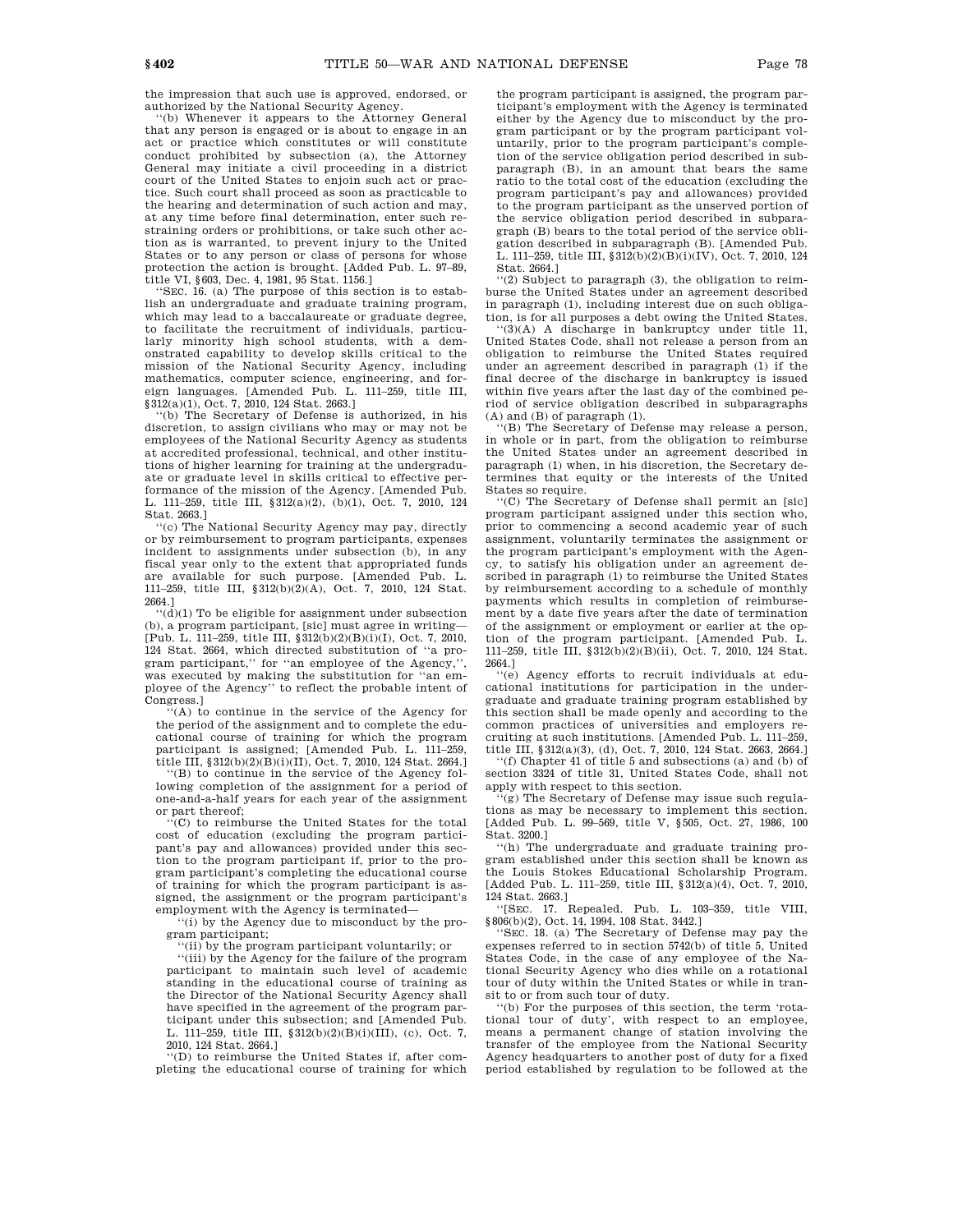the impression that such use is approved, endorsed, or authorized by the National Security Agency.

(b) Whenever it appears to the Attorney General that any person is engaged or is about to engage in an act or practice which constitutes or will constitute conduct prohibited by subsection (a), the Attorney General may initiate a civil proceeding in a district court of the United States to enjoin such act or practice. Such court shall proceed as soon as practicable to the hearing and determination of such action and may, at any time before final determination, enter such restraining orders or prohibitions, or take such other action as is warranted, to prevent injury to the United States or to any person or class of persons for whose protection the action is brought. [Added Pub. L. 97–89, title VI, §603, Dec. 4, 1981, 95 Stat. 1156.]

''SEC. 16. (a) The purpose of this section is to establish an undergraduate and graduate training program, which may lead to a baccalaureate or graduate degree, to facilitate the recruitment of individuals, particularly minority high school students, with a demonstrated capability to develop skills critical to the mission of the National Security Agency, including mathematics, computer science, engineering, and foreign languages. [Amended Pub. L. 111–259, title III, §312(a)(1), Oct. 7, 2010, 124 Stat. 2663.]

''(b) The Secretary of Defense is authorized, in his discretion, to assign civilians who may or may not be employees of the National Security Agency as students at accredited professional, technical, and other institutions of higher learning for training at the undergraduate or graduate level in skills critical to effective performance of the mission of the Agency. [Amended Pub. L. 111–259, title III, §312(a)(2), (b)(1), Oct. 7, 2010, 124 Stat. 2663.]

''(c) The National Security Agency may pay, directly or by reimbursement to program participants, expenses incident to assignments under subsection (b), in any fiscal year only to the extent that appropriated funds are available for such purpose. [Amended Pub. L. 111–259, title III, §312(b)(2)(A), Oct. 7, 2010, 124 Stat. 2664.]

 $\cdot \cdot \cdot (d)(1)$  To be eligible for assignment under subsection (b), a program participant, [sic] must agree in writing— [Pub. L. 111–259, title III, §312(b)(2)(B)(i)(I), Oct. 7, 2010, 124 Stat. 2664, which directed substitution of ''a program participant,'' for ''an employee of the Agency,'', was executed by making the substitution for ''an employee of the Agency'' to reflect the probable intent of Congress.]

'(A) to continue in the service of the Agency for the period of the assignment and to complete the educational course of training for which the program participant is assigned; [Amended Pub. L. 111–259, title III, §312(b)(2)(B)(i)(II), Oct. 7, 2010, 124 Stat. 2664.]

''(B) to continue in the service of the Agency following completion of the assignment for a period of one-and-a-half years for each year of the assignment or part thereof;

''(C) to reimburse the United States for the total cost of education (excluding the program participant's pay and allowances) provided under this section to the program participant if, prior to the program participant's completing the educational course of training for which the program participant is assigned, the assignment or the program participant's employment with the Agency is terminated—

''(i) by the Agency due to misconduct by the program participant;

''(ii) by the program participant voluntarily; or

''(iii) by the Agency for the failure of the program participant to maintain such level of academic standing in the educational course of training as the Director of the National Security Agency shall have specified in the agreement of the program participant under this subsection; and [Amended Pub. L. 111–259, title III, §312(b)(2)(B)(i)(III), (c), Oct. 7, 2010, 124 Stat. 2664.]

''(D) to reimburse the United States if, after completing the educational course of training for which the program participant is assigned, the program participant's employment with the Agency is terminated either by the Agency due to misconduct by the program participant or by the program participant voluntarily, prior to the program participant's completion of the service obligation period described in subparagraph (B), in an amount that bears the same ratio to the total cost of the education (excluding the program participant's pay and allowances) provided to the program participant as the unserved portion of the service obligation period described in subparagraph (B) bears to the total period of the service obligation described in subparagraph (B). [Amended Pub. L. 111–259, title III, §312(b)(2)(B)(i)(IV), Oct. 7, 2010, 124 Stat. 2664.]

''(2) Subject to paragraph (3), the obligation to reimburse the United States under an agreement described in paragraph (1), including interest due on such obligation, is for all purposes a debt owing the United States.

 $(3)(A)$  A discharge in bankruptcy under title 11, United States Code, shall not release a person from an obligation to reimburse the United States required under an agreement described in paragraph (1) if the final decree of the discharge in bankruptcy is issued within five years after the last day of the combined period of service obligation described in subparagraphs (A) and (B) of paragraph (1).

''(B) The Secretary of Defense may release a person, in whole or in part, from the obligation to reimburse the United States under an agreement described in paragraph (1) when, in his discretion, the Secretary determines that equity or the interests of the United States so require.

''(C) The Secretary of Defense shall permit an [sic] program participant assigned under this section who, prior to commencing a second academic year of such assignment, voluntarily terminates the assignment or the program participant's employment with the Agency, to satisfy his obligation under an agreement described in paragraph (1) to reimburse the United States by reimbursement according to a schedule of monthly payments which results in completion of reimbursement by a date five years after the date of termination of the assignment or employment or earlier at the option of the program participant. [Amended Pub. L. 111–259, title III, §312(b)(2)(B)(ii), Oct. 7, 2010, 124 Stat. 2664.]

''(e) Agency efforts to recruit individuals at educational institutions for participation in the undergraduate and graduate training program established by this section shall be made openly and according to the common practices of universities and employers recruiting at such institutions. [Amended Pub. L. 111–259, title III, §312(a)(3), (d), Oct. 7, 2010, 124 Stat. 2663, 2664.]

''(f) Chapter 41 of title 5 and subsections (a) and (b) of section 3324 of title 31, United States Code, shall not apply with respect to this section.

''(g) The Secretary of Defense may issue such regulations as may be necessary to implement this section. [Added Pub. L. 99–569, title V, §505, Oct. 27, 1986, 100 Stat. 3200.]

''(h) The undergraduate and graduate training program established under this section shall be known as the Louis Stokes Educational Scholarship Program. [Added Pub. L. 111–259, title III, §312(a)(4), Oct. 7, 2010,

124 Stat. 2663.] ''[SEC. 17. Repealed. Pub. L. 103–359, title VIII, §806(b)(2), Oct. 14, 1994, 108 Stat. 3442.]

''SEC. 18. (a) The Secretary of Defense may pay the expenses referred to in section 5742(b) of title 5, United States Code, in the case of any employee of the National Security Agency who dies while on a rotational tour of duty within the United States or while in transit to or from such tour of duty.

''(b) For the purposes of this section, the term 'rotational tour of duty', with respect to an employee, means a permanent change of station involving the transfer of the employee from the National Security Agency headquarters to another post of duty for a fixed period established by regulation to be followed at the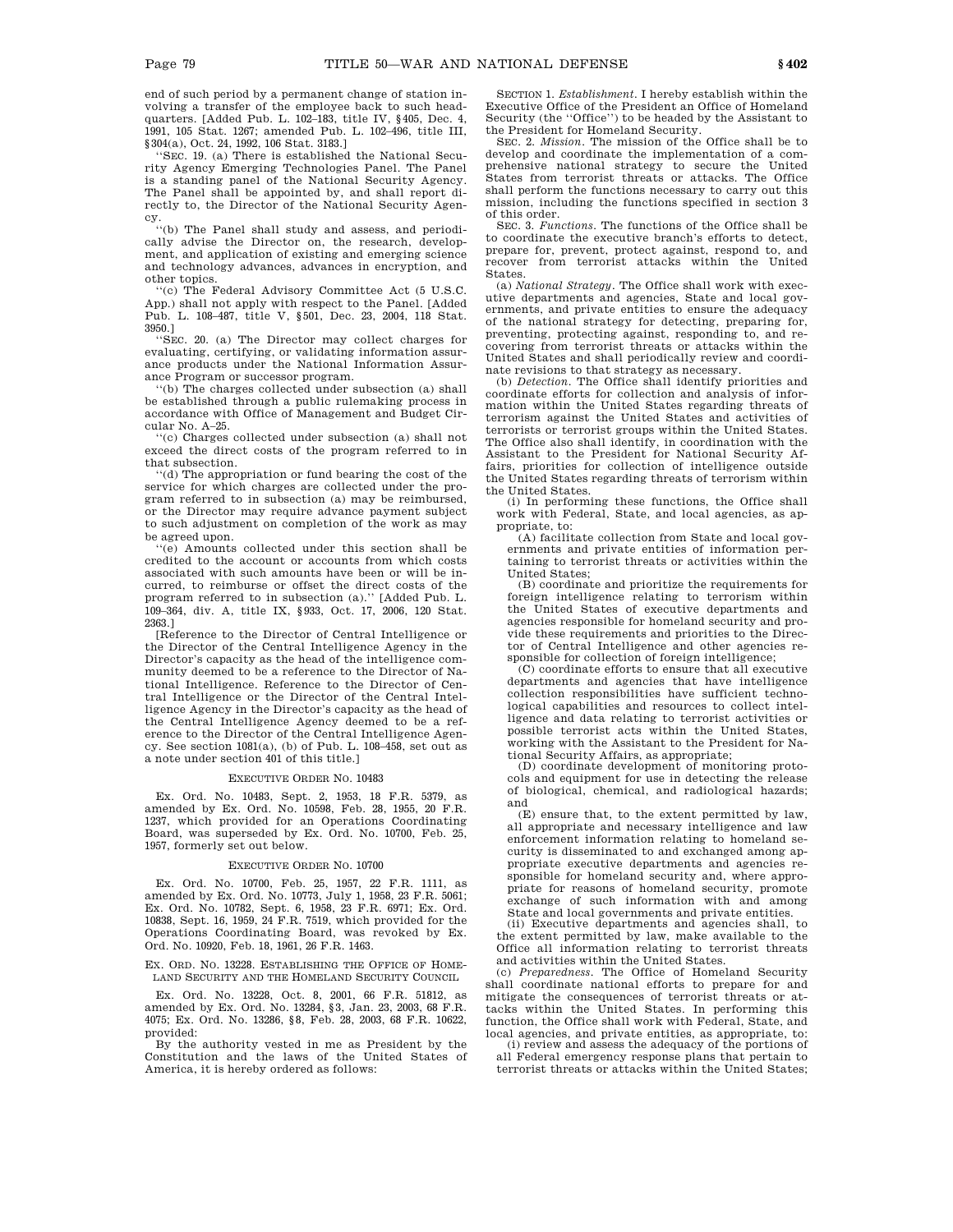end of such period by a permanent change of station involving a transfer of the employee back to such headquarters. [Added Pub. L. 102–183, title IV, §405, Dec. 4, 1991, 105 Stat. 1267; amended Pub. L. 102–496, title III, §304(a), Oct. 24, 1992, 106 Stat. 3183.]

''SEC. 19. (a) There is established the National Security Agency Emerging Technologies Panel. The Panel is a standing panel of the National Security Agency. The Panel shall be appointed by, and shall report directly to, the Director of the National Security Agen-

cy. ''(b) The Panel shall study and assess, and periodically advise the Director on, the research, development, and application of existing and emerging science and technology advances, advances in encryption, and other topics.

''(c) The Federal Advisory Committee Act (5 U.S.C. App.) shall not apply with respect to the Panel. [Added Pub. L. 108–487, title V, §501, Dec. 23, 2004, 118 Stat. 3950.]

''SEC. 20. (a) The Director may collect charges for evaluating, certifying, or validating information assurance products under the National Information Assurance Program or successor program.

''(b) The charges collected under subsection (a) shall be established through a public rulemaking process in accordance with Office of Management and Budget Circular No. A–25.

''(c) Charges collected under subsection (a) shall not exceed the direct costs of the program referred to in that subsection.

''(d) The appropriation or fund bearing the cost of the service for which charges are collected under the program referred to in subsection (a) may be reimbursed, or the Director may require advance payment subject to such adjustment on completion of the work as may

be agreed upon. ''(e) Amounts collected under this section shall be credited to the account or accounts from which costs associated with such amounts have been or will be incurred, to reimburse or offset the direct costs of the program referred to in subsection (a).'' [Added Pub. L. 109–364, div. A, title IX, §933, Oct. 17, 2006, 120 Stat. 2363.]

[Reference to the Director of Central Intelligence or the Director of the Central Intelligence Agency in the Director's capacity as the head of the intelligence community deemed to be a reference to the Director of National Intelligence. Reference to the Director of Central Intelligence or the Director of the Central Intelligence Agency in the Director's capacity as the head of the Central Intelligence Agency deemed to be a reference to the Director of the Central Intelligence Agency. See section 1081(a), (b) of Pub. L. 108–458, set out as a note under section 401 of this title.]

### EXECUTIVE ORDER NO. 10483

Ex. Ord. No. 10483, Sept. 2, 1953, 18 F.R. 5379, as amended by Ex. Ord. No. 10598, Feb. 28, 1955, 20 F.R. 1237, which provided for an Operations Coordinating Board, was superseded by Ex. Ord. No. 10700, Feb. 25, 1957, formerly set out below.

### EXECUTIVE ORDER NO. 10700

Ex. Ord. No. 10700, Feb. 25, 1957, 22 F.R. 1111, as amended by Ex. Ord. No. 10773, July 1, 1958, 23 F.R. 5061; Ex. Ord. No. 10782, Sept. 6, 1958, 23 F.R. 6971; Ex. Ord. 10838, Sept. 16, 1959, 24 F.R. 7519, which provided for the Operations Coordinating Board, was revoked by Ex. Ord. No. 10920, Feb. 18, 1961, 26 F.R. 1463.

EX. ORD. NO. 13228. ESTABLISHING THE OFFICE OF HOME-LAND SECURITY AND THE HOMELAND SECURITY COUNCIL

Ex. Ord. No. 13228, Oct. 8, 2001, 66 F.R. 51812, as amended by Ex. Ord. No. 13284, §3, Jan. 23, 2003, 68 F.R. 4075; Ex. Ord. No. 13286, §8, Feb. 28, 2003, 68 F.R. 10622, provided:

By the authority vested in me as President by the Constitution and the laws of the United States of America, it is hereby ordered as follows:

SECTION 1. *Establishment*. I hereby establish within the Executive Office of the President an Office of Homeland Security (the ''Office'') to be headed by the Assistant to the President for Homeland Security.

SEC. 2. *Mission*. The mission of the Office shall be to develop and coordinate the implementation of a comprehensive national strategy to secure the United States from terrorist threats or attacks. The Office shall perform the functions necessary to carry out this mission, including the functions specified in section 3 of this order.

SEC. 3. *Functions*. The functions of the Office shall be to coordinate the executive branch's efforts to detect, prepare for, prevent, protect against, respond to, and recover from terrorist attacks within the United States.

(a) *National Strategy*. The Office shall work with executive departments and agencies, State and local governments, and private entities to ensure the adequacy of the national strategy for detecting, preparing for, preventing, protecting against, responding to, and recovering from terrorist threats or attacks within the United States and shall periodically review and coordinate revisions to that strategy as necessary.

(b) *Detection*. The Office shall identify priorities and coordinate efforts for collection and analysis of information within the United States regarding threats of terrorism against the United States and activities of terrorists or terrorist groups within the United States. The Office also shall identify, in coordination with the Assistant to the President for National Security Affairs, priorities for collection of intelligence outside the United States regarding threats of terrorism within the United States.

(i) In performing these functions, the Office shall work with Federal, State, and local agencies, as appropriate, to:

(A) facilitate collection from State and local governments and private entities of information pertaining to terrorist threats or activities within the United States;

(B) coordinate and prioritize the requirements for foreign intelligence relating to terrorism within the United States of executive departments and agencies responsible for homeland security and provide these requirements and priorities to the Director of Central Intelligence and other agencies responsible for collection of foreign intelligence;

(C) coordinate efforts to ensure that all executive departments and agencies that have intelligence collection responsibilities have sufficient technological capabilities and resources to collect intelligence and data relating to terrorist activities or possible terrorist acts within the United States, working with the Assistant to the President for National Security Affairs, as appropriate;

(D) coordinate development of monitoring protocols and equipment for use in detecting the release of biological, chemical, and radiological hazards; and

(E) ensure that, to the extent permitted by law, all appropriate and necessary intelligence and law enforcement information relating to homeland security is disseminated to and exchanged among appropriate executive departments and agencies responsible for homeland security and, where appropriate for reasons of homeland security, promote exchange of such information with and among State and local governments and private entities. (ii) Executive departments and agencies shall, to

the extent permitted by law, make available to the Office all information relating to terrorist threats and activities within the United States.

(c) *Preparedness*. The Office of Homeland Security shall coordinate national efforts to prepare for and mitigate the consequences of terrorist threats or attacks within the United States. In performing this function, the Office shall work with Federal, State, and local agencies, and private entities, as appropriate, to:

(i) review and assess the adequacy of the portions of all Federal emergency response plans that pertain to terrorist threats or attacks within the United States;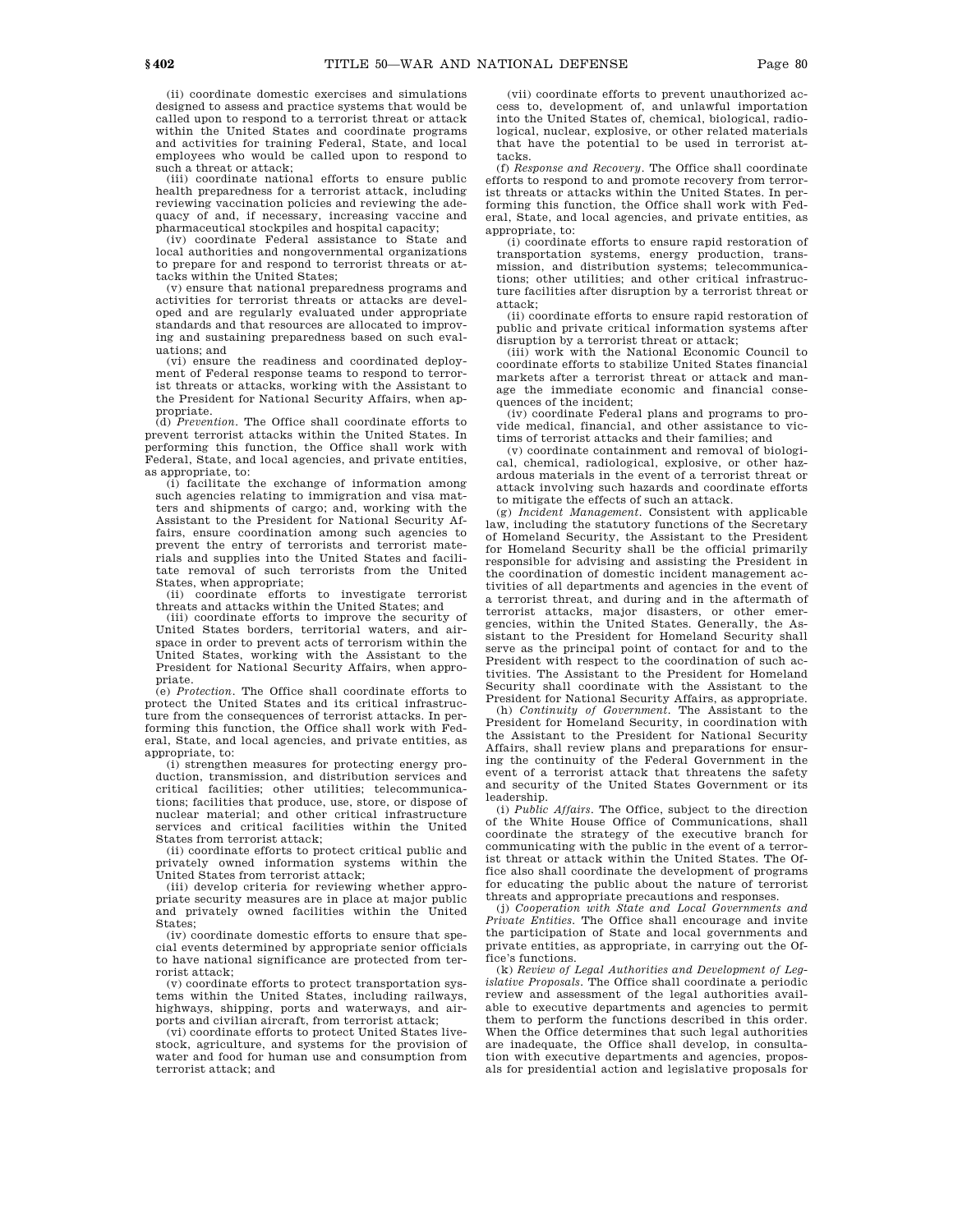(ii) coordinate domestic exercises and simulations designed to assess and practice systems that would be called upon to respond to a terrorist threat or attack within the United States and coordinate programs and activities for training Federal, State, and local employees who would be called upon to respond to such a threat or attack;

(iii) coordinate national efforts to ensure public health preparedness for a terrorist attack, including reviewing vaccination policies and reviewing the adequacy of and, if necessary, increasing vaccine and pharmaceutical stockpiles and hospital capacity;

(iv) coordinate Federal assistance to State and local authorities and nongovernmental organizations to prepare for and respond to terrorist threats or attacks within the United States;

(v) ensure that national preparedness programs and activities for terrorist threats or attacks are developed and are regularly evaluated under appropriate standards and that resources are allocated to improving and sustaining preparedness based on such evaluations; and

(vi) ensure the readiness and coordinated deployment of Federal response teams to respond to terrorist threats or attacks, working with the Assistant to the President for National Security Affairs, when appropriate.

(d) *Prevention*. The Office shall coordinate efforts to prevent terrorist attacks within the United States. In performing this function, the Office shall work with Federal, State, and local agencies, and private entities, as appropriate, to:

(i) facilitate the exchange of information among such agencies relating to immigration and visa matters and shipments of cargo; and, working with the Assistant to the President for National Security Affairs, ensure coordination among such agencies to prevent the entry of terrorists and terrorist materials and supplies into the United States and facilitate removal of such terrorists from the United States, when appropriate;

(ii) coordinate efforts to investigate terrorist threats and attacks within the United States; and

(iii) coordinate efforts to improve the security of United States borders, territorial waters, and airspace in order to prevent acts of terrorism within the United States, working with the Assistant to the President for National Security Affairs, when appropriate.

(e) *Protection*. The Office shall coordinate efforts to protect the United States and its critical infrastructure from the consequences of terrorist attacks. In performing this function, the Office shall work with Federal, State, and local agencies, and private entities, as appropriate, to:

(i) strengthen measures for protecting energy production, transmission, and distribution services and critical facilities; other utilities; telecommunications; facilities that produce, use, store, or dispose of nuclear material; and other critical infrastructure services and critical facilities within the United States from terrorist attack;

(ii) coordinate efforts to protect critical public and privately owned information systems within the United States from terrorist attack;

(iii) develop criteria for reviewing whether appropriate security measures are in place at major public and privately owned facilities within the United States;

(iv) coordinate domestic efforts to ensure that special events determined by appropriate senior officials to have national significance are protected from terrorist attack;

(v) coordinate efforts to protect transportation systems within the United States, including railways, highways, shipping, ports and waterways, and airports and civilian aircraft, from terrorist attack;

(vi) coordinate efforts to protect United States livestock, agriculture, and systems for the provision of water and food for human use and consumption from terrorist attack; and

(vii) coordinate efforts to prevent unauthorized access to, development of, and unlawful importation into the United States of, chemical, biological, radiological, nuclear, explosive, or other related materials that have the potential to be used in terrorist attacks.

(f) *Response and Recovery*. The Office shall coordinate efforts to respond to and promote recovery from terrorist threats or attacks within the United States. In performing this function, the Office shall work with Federal, State, and local agencies, and private entities, as appropriate, to:

(i) coordinate efforts to ensure rapid restoration of transportation systems, energy production, transmission, and distribution systems; telecommunications; other utilities; and other critical infrastructure facilities after disruption by a terrorist threat or attack;

(ii) coordinate efforts to ensure rapid restoration of public and private critical information systems after disruption by a terrorist threat or attack;

(iii) work with the National Economic Council to coordinate efforts to stabilize United States financial markets after a terrorist threat or attack and manage the immediate economic and financial consequences of the incident;

(iv) coordinate Federal plans and programs to provide medical, financial, and other assistance to victims of terrorist attacks and their families; and

(v) coordinate containment and removal of biological, chemical, radiological, explosive, or other hazardous materials in the event of a terrorist threat or attack involving such hazards and coordinate efforts to mitigate the effects of such an attack.

(g) *Incident Management*. Consistent with applicable law, including the statutory functions of the Secretary of Homeland Security, the Assistant to the President for Homeland Security shall be the official primarily responsible for advising and assisting the President in the coordination of domestic incident management activities of all departments and agencies in the event of a terrorist threat, and during and in the aftermath of terrorist attacks, major disasters, or other emergencies, within the United States. Generally, the Assistant to the President for Homeland Security shall serve as the principal point of contact for and to the President with respect to the coordination of such activities. The Assistant to the President for Homeland Security shall coordinate with the Assistant to the President for National Security Affairs, as appropriate.

(h) *Continuity of Government*. The Assistant to the President for Homeland Security, in coordination with the Assistant to the President for National Security Affairs, shall review plans and preparations for ensuring the continuity of the Federal Government in the event of a terrorist attack that threatens the safety and security of the United States Government or its leadership.

(i) *Public Affairs*. The Office, subject to the direction of the White House Office of Communications, shall coordinate the strategy of the executive branch for communicating with the public in the event of a terrorist threat or attack within the United States. The Office also shall coordinate the development of programs for educating the public about the nature of terrorist threats and appropriate precautions and responses.

(j) *Cooperation with State and Local Governments and Private Entities*. The Office shall encourage and invite the participation of State and local governments and private entities, as appropriate, in carrying out the Office's functions.

(k) *Review of Legal Authorities and Development of Legislative Proposals*. The Office shall coordinate a periodic review and assessment of the legal authorities available to executive departments and agencies to permit them to perform the functions described in this order. When the Office determines that such legal authorities are inadequate, the Office shall develop, in consultation with executive departments and agencies, proposals for presidential action and legislative proposals for